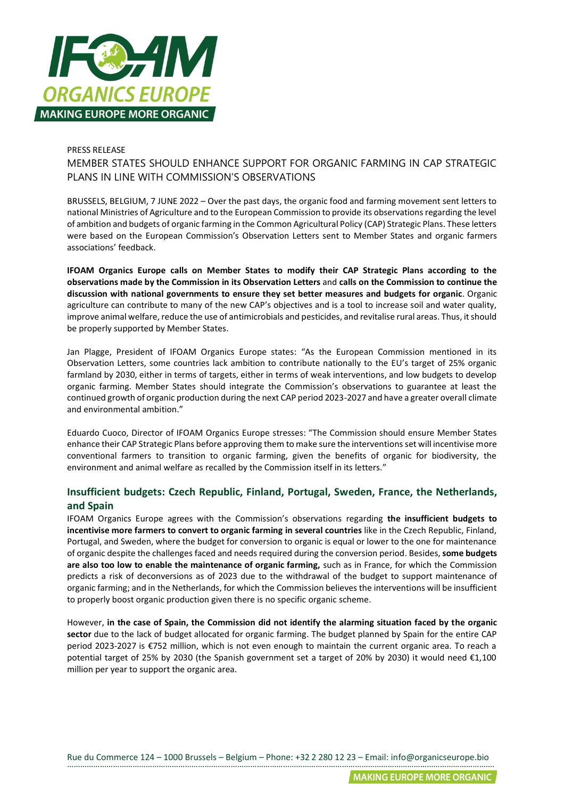

## PRESS RELEASE

MEMBER STATES SHOULD ENHANCE SUPPORT FOR ORGANIC FARMING IN CAP STRATEGIC PLANS IN LINE WITH COMMISSION'S OBSERVATIONS

BRUSSELS, BELGIUM, 7 JUNE 2022 – Over the past days, the organic food and farming movement sent letters to national Ministries of Agriculture and to the European Commission to provide its observations regarding the level of ambition and budgets of organic farming in the Common Agricultural Policy (CAP) Strategic Plans. These letters were based on the European Commission's Observation Letters sent to Member States and organic farmers associations' feedback.

**IFOAM Organics Europe calls on Member States to modify their CAP Strategic Plans according to the observations made by the Commission in its Observation Letters** and **calls on the Commission to continue the discussion with national governments to ensure they set better measures and budgets for organic**. Organic agriculture can contribute to many of the new CAP's objectives and is a tool to increase soil and water quality, improve animal welfare, reduce the use of antimicrobials and pesticides, and revitalise rural areas. Thus, it should be properly supported by Member States.

Jan Plagge, President of IFOAM Organics Europe states: "As the European Commission mentioned in its Observation Letters, some countries lack ambition to contribute nationally to the EU's target of 25% organic farmland by 2030, either in terms of targets, either in terms of weak interventions, and low budgets to develop organic farming. Member States should integrate the Commission's observations to guarantee at least the continued growth of organic production during the next CAP period 2023-2027 and have a greater overall climate and environmental ambition."

Eduardo Cuoco, Director of IFOAM Organics Europe stresses: "The Commission should ensure Member States enhance their CAP Strategic Plans before approving them to make sure the interventions set will incentivise more conventional farmers to transition to organic farming, given the benefits of organic for biodiversity, the environment and animal welfare as recalled by the Commission itself in its letters."

## **Insufficient budgets: Czech Republic, Finland, Portugal, Sweden, France, the Netherlands, and Spain**

IFOAM Organics Europe agrees with the Commission's observations regarding **the insufficient budgets to incentivise more farmers to convert to organic farming in several countries** like in the Czech Republic, Finland, Portugal, and Sweden, where the budget for conversion to organic is equal or lower to the one for maintenance of organic despite the challenges faced and needs required during the conversion period. Besides, **some budgets are also too low to enable the maintenance of organic farming,** such as in France, for which the Commission predicts a risk of deconversions as of 2023 due to the withdrawal of the budget to support maintenance of organic farming; and in the Netherlands, for which the Commission believes the interventions will be insufficient to properly boost organic production given there is no specific organic scheme.

However, **in the case of Spain, the Commission did not identify the alarming situation faced by the organic sector** due to the lack of budget allocated for organic farming. The budget planned by Spain for the entire CAP period 2023-2027 is €752 million, which is not even enough to maintain the current organic area. To reach a potential target of 25% by 2030 (the Spanish government set a target of 20% by 2030) it would need €1,100 million per year to support the organic area.

Rue du Commerce 124 – 1000 Brussels – Belgium – Phone: +32 2 280 12 23 – Email: info@organicseurope.bio …………………………………………………………………………………………………………………………………………………………………………….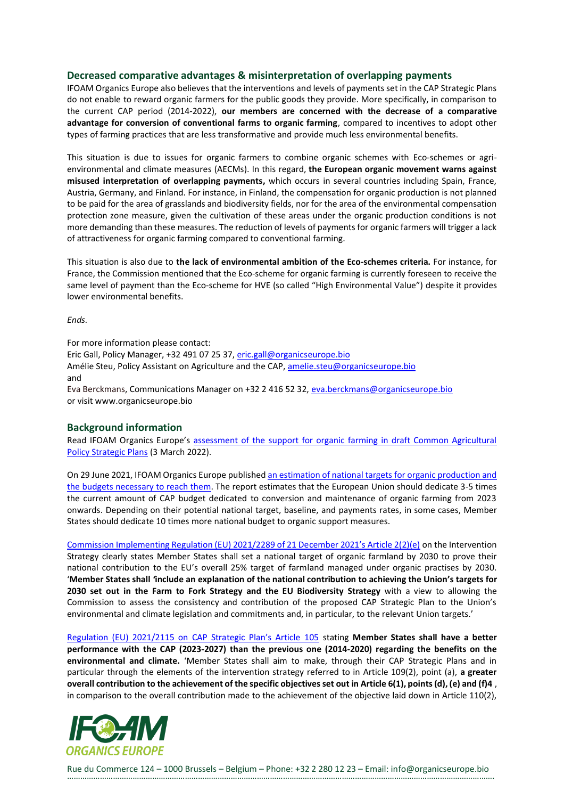## **Decreased comparative advantages & misinterpretation of overlapping payments**

IFOAM Organics Europe also believes that the interventions and levels of payments set in the CAP Strategic Plans do not enable to reward organic farmers for the public goods they provide. More specifically, in comparison to the current CAP period (2014-2022), **our members are concerned with the decrease of a comparative advantage for conversion of conventional farms to organic farming**, compared to incentives to adopt other types of farming practices that are less transformative and provide much less environmental benefits.

This situation is due to issues for organic farmers to combine organic schemes with Eco-schemes or agrienvironmental and climate measures (AECMs). In this regard, **the European organic movement warns against misused interpretation of overlapping payments,** which occurs in several countries including Spain, France, Austria, Germany, and Finland. For instance, in Finland, the compensation for organic production is not planned to be paid for the area of grasslands and biodiversity fields, nor for the area of the environmental compensation protection zone measure, given the cultivation of these areas under the organic production conditions is not more demanding than these measures. The reduction of levels of payments for organic farmers will trigger a lack of attractiveness for organic farming compared to conventional farming.

This situation is also due to **the lack of environmental ambition of the Eco-schemes criteria.** For instance, for France, the Commission mentioned that the Eco-scheme for organic farming is currently foreseen to receive the same level of payment than the Eco-scheme for HVE (so called "High Environmental Value") despite it provides lower environmental benefits.

*Ends.*

For more information please contact: Eric Gall, Policy Manager, +32 491 07 25 37, [eric.gall@organicseurope.bio](mailto:eric.gall@organicseurope.bio) Amélie Steu, Policy Assistant on Agriculture and the CAP, [amelie.steu@organicseurope.bio](mailto:amelie.steu@organicseurope.bio) and Eva Berckmans, Communications Manager on +32 2 416 52 32[, eva.berckmans@organicseurope.bio](mailto:eva.berckmans@organicseurope.bio) or visit www.organicseurope.bio

## **Background information**

Read IFOAM Organics Europe's assessment of the support for organic farming in draft Common Agricultural [Policy Strategic Plans](https://www.organicseurope.bio/content/uploads/2022/03/IFOAMEU_CAP_SP_feedback_20220303_final.pdf?dd) (3 March 2022).

On 29 June 2021, IFOAM Organics Europe publishe[d an estimation of national targets for organic production and](https://www.organicseurope.bio/news/new-report-highlights-need-for-increased-support-to-organic-farming-in-future-cap-plans-to-reach-eu-25-target/)  [the budgets necessary to reach them.](https://www.organicseurope.bio/news/new-report-highlights-need-for-increased-support-to-organic-farming-in-future-cap-plans-to-reach-eu-25-target/) The report estimates that the European Union should dedicate 3-5 times the current amount of CAP budget dedicated to conversion and maintenance of organic farming from 2023 onwards. Depending on their potential national target, baseline, and payments rates, in some cases, Member States should dedicate 10 times more national budget to organic support measures.

[Commission Implementing Regulation \(EU\) 2021/2289 of 21 December 2021's Article 2\(2\)\(e\)](https://eur-lex.europa.eu/legal-content/EN/TXT/PDF/?uri=CELEX:32021R2289&from=EN) on the Intervention Strategy clearly states Member States shall set a national target of organic farmland by 2030 to prove their national contribution to the EU's overall 25% target of farmland managed under organic practises by 2030. '**Member States shall** *'***include an explanation of the national contribution to achieving the Union's targets for 2030 set out in the Farm to Fork Strategy and the EU Biodiversity Strategy** with a view to allowing the Commission to assess the consistency and contribution of the proposed CAP Strategic Plan to the Union's environmental and climate legislation and commitments and, in particular, to the relevant Union targets.'

[Regulation \(EU\) 2021/2115 on CAP Strategic Plan's Article 105](https://eur-lex.europa.eu/legal-content/EN/TXT/?toc=OJ%3AL%3A2021%3A435%3ATOC&uri=uriserv%3AOJ.L_.2021.435.01.0001.01.ENG) stating **Member States shall have a better performance with the CAP (2023-2027) than the previous one (2014-2020) regarding the benefits on the environmental and climate.** 'Member States shall aim to make, through their CAP Strategic Plans and in particular through the elements of the intervention strategy referred to in Article 109(2), point (a), **a greater overall contribution to the achievement of the specific objectives set out in Article 6(1), points (d), (e) and (f)4** , in comparison to the overall contribution made to the achievement of the objective laid down in Article 110(2),



Rue du Commerce 124 – 1000 Brussels – Belgium – Phone: +32 2 280 12 23 – Email: info@organicseurope.bio …………………………………………………………………………………………………………………………………………………………………………….